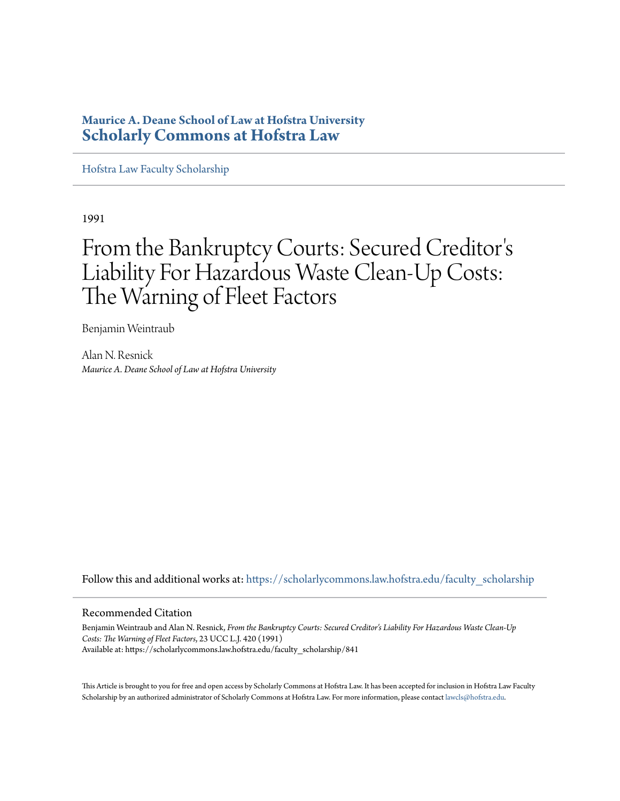## **Maurice A. Deane School of Law at Hofstra University [Scholarly Commons at Hofstra Law](https://scholarlycommons.law.hofstra.edu?utm_source=scholarlycommons.law.hofstra.edu%2Ffaculty_scholarship%2F841&utm_medium=PDF&utm_campaign=PDFCoverPages)**

[Hofstra Law Faculty Scholarship](https://scholarlycommons.law.hofstra.edu/faculty_scholarship?utm_source=scholarlycommons.law.hofstra.edu%2Ffaculty_scholarship%2F841&utm_medium=PDF&utm_campaign=PDFCoverPages)

1991

# From the Bankruptcy Courts: Secured Creditor ' s Liability For Hazardous Waste Clean-Up Costs: The Warning of Fleet Factors

Benjamin Weintraub

Alan N. Resnick *Maurice A. Deane School of Law at Hofstra University*

Follow this and additional works at: [https://scholarlycommons.law.hofstra.edu/faculty\\_scholarship](https://scholarlycommons.law.hofstra.edu/faculty_scholarship?utm_source=scholarlycommons.law.hofstra.edu%2Ffaculty_scholarship%2F841&utm_medium=PDF&utm_campaign=PDFCoverPages)

### Recommended Citation

Benjamin Weintraub and Alan N. Resnick, *From the Bankruptcy Courts: Secured Creditor's Liability For Hazardous Waste Clean-Up Costs: The Warning of Fleet Factors*, 23 UCC L.J. 420 (1991) Available at: https://scholarlycommons.law.hofstra.edu/faculty\_scholarship/841

This Article is brought to you for free and open access by Scholarly Commons at Hofstra Law. It has been accepted for inclusion in Hofstra Law Faculty Scholarship by an authorized administrator of Scholarly Commons at Hofstra Law. For more information, please contact [lawcls@hofstra.edu](mailto:lawcls@hofstra.edu).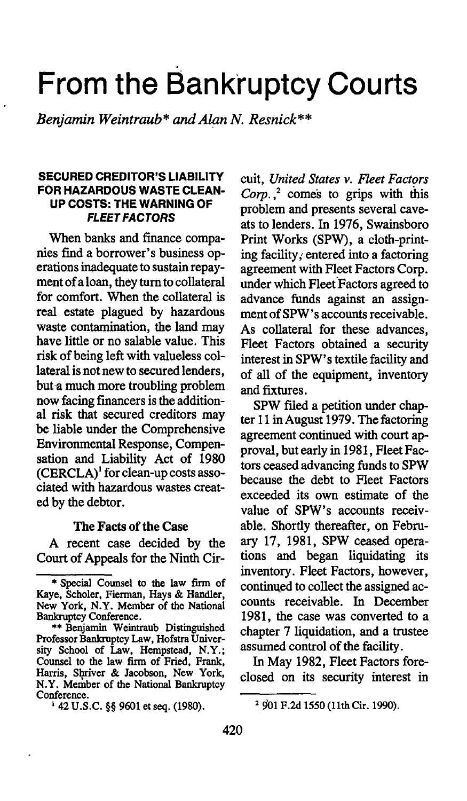# **From the Banktuptcy Courts**

*Benjamin Weintraub\* and Alan N. Resnick\*\** 

#### SECURED CREDITOR'S LIABILITY FOR HAZARDOUS WASTE CLEAN-UP COSTS: THE WARNING OF FLEET FACTORS

When banks and finance companies fmd a borrower's business operations inadequate to sustain repayment of a loan, they tum to collateral for comfort. When the collateral is real estate plagued by hazardous waste contamination, the land may have little or no salable value. This risk of being left with valueless collateral is not new to secured lenders, but-a much more troubling problem now facing fmancers is the additional risk that secured creditors may be liable under the Comprehensive Environmental Response, Compensation and Liability Act of 1980  $(CERCLA)^1$  for clean-up costs associated with hazardous wastes created by the debtor.

#### The Facts of the Case

A recent case decided by the Court of Appeals for the Ninth Cir-

cuit, *United States v. Fleet Factors Corp.,* 2 comes to grips with this problem and presents several caveats to lenders. In 1976, Swainsboro Print Works (SPW), a cloth-printing facility *i* entered into a factoring agreement with Fleet Factors Corp. under which Fleet Factors agreed to advance funds against an assignment of SPW's accounts receivable. As collateral for these advances, Fleet Factors obtained a security interest in SPW's textile facility and of all of the equipment, inventory and fixtures.

SPW filed a petition under chapter 11 in August 1979. The factoring agreement continued with court approval, but early in 1981, Fleet Factors ceased advancing funds to SPW because the debt to Fleet Factors exceeded its own estimate of the value of SPW's accounts receivable. Shortly thereafter, on February 17, 1981, SPW ceased operations and began liquidating its inventory. Fleet Factors, however, continued to collect the assigned accounts receivable. In December 1981, the case was converted to a chapter 7 liquidation, and a trustee assumed control of the facility.

In May 1982, Fleet Factors foreclosed on its security interest in

<sup>\*</sup> Special Counsel to the law finn of Kaye, Scholer, Fierman, Hays & Handler, New York, N.Y. Member of the National Bankruptcy Conference.

<sup>\*\*</sup>Benjamin Weintraub Distinguished Professor Bankruptcy Law, Hofstra University School of Law, Hempstead, N.Y.; Counsel to the law firm of Fried, Frank, Harris, Shriver & Jacobson, New York, N.Y. Member of the National Bankruptcy Conference. 1 42 U.S.C. §§ 9601 et seq. (1980).

<sup>&</sup>lt;sup>2</sup> 901 F.2d 1550 (11th Cir. 1990).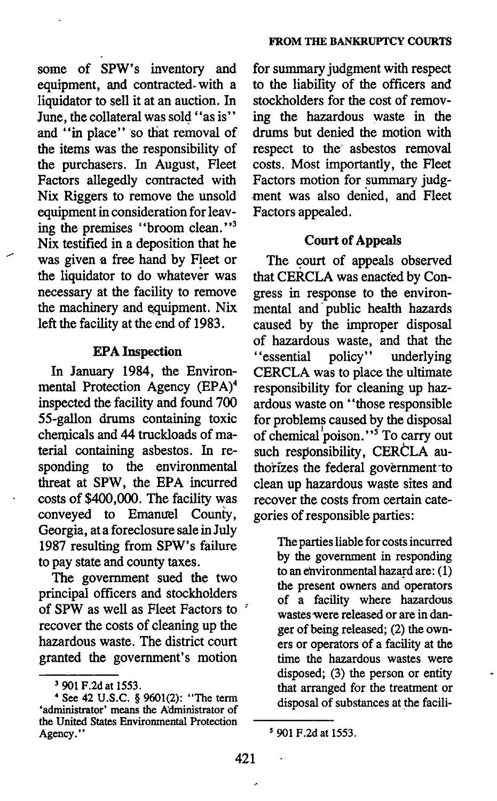some of SPW's inventory and equipment, and contracted- with a liquidator to sell it at an auction. In June, the collateral was sold "as is" and "in place" so that removal of the items was the responsibility of the purchasers. In August, Fleet Factors allegedly contracted with Nix Riggers to remove the unsold equipment in consideration for leaving the premises "broom clean."<sup>3</sup> Nix testified in a deposition that he was given a free hand by Fleet or the liquidator to do whatever was necessary at the facility to remove the machinery and equipment. Nix left the facility at the end of 1983.

#### EPA Inspection

In January 1984, the Environmental Protection Agency (EPA)<sup>4</sup> inspected the facility and found 700 55-gallon drums containing toxic chemicals and 44 truckloads of material containing asbestos. In responding to the environmental threat at SPW, the EPA incurred costs of \$400,000. The facility was conveyed to Emanuel County, Georgia, at a foreclosure sale in July 1987 resulting from SPW's failure to pay state and county taxes.

The government sued the two principal officers and stockholders of SPW as well as Fleet Factors to *<sup>3</sup>* recover the costs of cleaning up the hazardous waste. The district court granted the government's motion

for summary judgment with respect to the liability of the officers and stockholders for the cost of removing the hazardous waste in the drums but denied the motion with respect to the asbestos removal costs. Most importantly, the Fleet Factors motion for summary judgment was also deriied, and Fleet Factors appealed.

#### Court of Appeals

The court of appeals observed that CERCLA was enacted by Congress in response to the environmental and· public health hazards caused by the improper disposal of hazardous waste, and that the<br>"essential policy" underlying ' 'essential policy'' underlying CERCLA was to place the ultimate responsibility for cleaning up hazardous waste on ''those responsible for problems caused by the disposal of chemical poison."<sup>5</sup> To carry out such responsibility, CERCLA authorizes the federal government to clean up hazardous waste sites and recover the costs from certain categories of responsible parties:

> The parties liable for costs incurred by the government in responding to an environmental hazard are: ( 1) the present owners and operators of a facility where hazardous wastes-were released or are in danger of being released; (2) the owners or operators of a facility at the time the hazardous wastes were disposed; (3) the person or entity that arranged for the treatment or disposal of substances at the facili-

<sup>3 901</sup> F.2d at 1553.

<sup>•</sup> See 42 U.S.C. § 9601(2): "The term 'administrator' means the Administrator of the United States Environmental Protection Agency."

<sup>&#</sup>x27;901 F.2d at 1553.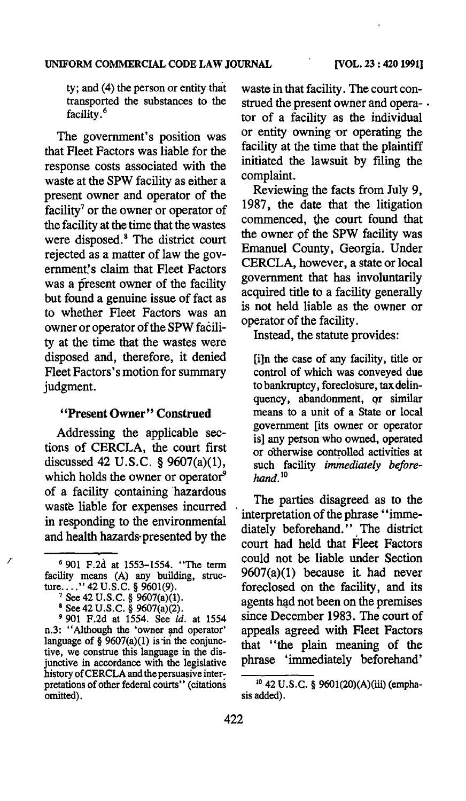ty; and (4) the person or entity that transported the substances to the facility. *<sup>6</sup>*

The government's position was that Fleet Factors was liable for the response costs associated with the waste at the SPW facility as either a present owner and operator of the facility<sup>7</sup> or the owner or operator of the facility at the time that the wastes were disposed.<sup>8</sup> The district court rejected as a matter of law the government's claim that Fleet Factors was a present owner of the facility but found a genuine issue of fact as to whether Fleet Factors was an owner or operator of the SPW facility at the time that the wastes were disposed and, therefore, it denied Fleet Factors's motion for summary judgment.

#### "Present Owner" Construed

Addressing the applicable sections of CERCLA, the court first discussed 42 U.S.C. § 9607(a)(1), which holds the owner or operator<sup>9</sup> of a facility containing hazardous waste liable for expenses incurred in responding to the environmental and health hazards·presented by the

7 See 42 U.S.C. § 9607(a)(1).<br>
<sup>8</sup> See 42 U.S.C. § 9607(a)(2).<br>
9901 F.2d at 1554. See *id.* at 1554 n.3: "Although the 'owner and operator' language of § 9607(a)(1) is in the conjunctive, we construe this language in the disjunctive in accordance with the legislative history of CERCLA and the persuasive interpretations of other federal courts'' (citations omitted).

waste in that facility. The court construed the present owner and opera- . tor of a facility as the individual or entity owning or operating the facility at the time that the plaintiff initiated the lawsuit by filing the complaint.

Reviewing the facts from July 9, 1987, the date that the litigation commenced, the court found that the owner of the SPW facility was Emanuel County, Georgia. Under CERCLA, however, a state or local government that has involuntarily acquired title to a facility generally is not held liable as the owner or operator of the facility.

Instead, the statute provides:

[i]n the case of any facility, title or control of which was conveyed due to bankruptcy, foreclosure, tax deiinquency, abandonment, qr similar means to a unit of a State or local government [its owner or operator is] any person who owned, operated or otherwise controlled activities at such facility *immediately* before $hand.<sup>10</sup>$ 

The parties disagreed as to the interpretation of the phrase "immediately beforehand.'' The district court had held that Fleet Factors could not be liable under Section 9607(a)(1) because it had never foreclosed on the facility, and its agents had not been on the premises since December 1983. The court of appeals agreed with Fleet Factors that ''the plain meaning of the phrase 'immediately beforehand'

<sup>6</sup>901 F.2d at 1553-1554. "The term facility means (A) any building, struc-<br>ture....."  $42 \text{ U.S.C.}$  § 9601(9).

<sup>10 42</sup> U.S.C. § 9601(20)(A)(iii) (emphasis added).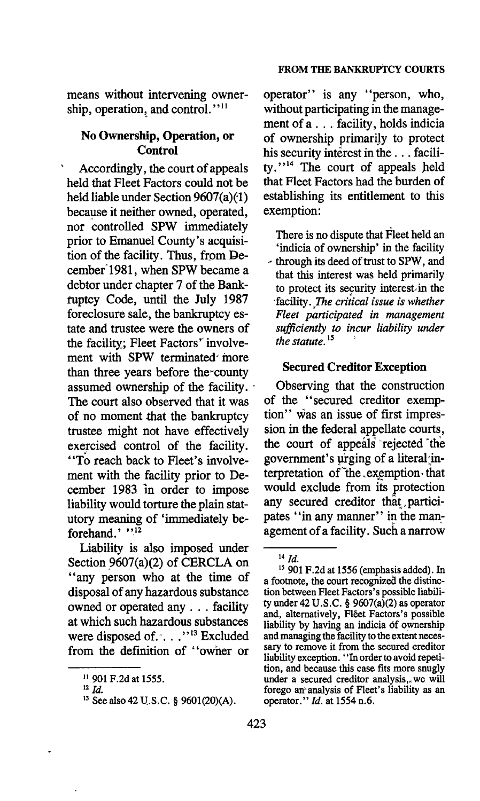means without intervening ownership, operation, and control."<sup>11</sup>

#### No Ownership, Operation, or Control

Accordingly, the court of appeals held that Fleet Factors could not be held liable under Section  $9607(a)(1)$ because it neither owned, operated, nor controlled SPW immediately prior to Emanuel County's acquisition of the facility. Thus, from December'1981, when SPW became a debtor under chapter 7 of the Bankruptcy Code, until the July 1987 foreclosure sale, the bankruptcy estate and trustee were the owners of the facility; Fleet Factors' involvement with SPW terminated more than three years before the-county assumed ownership of the facility. The court also observed that it was of no moment that the bankruptcy trustee might not have effectively exercised control of the facility. "To reach back to Fleet's involvement with the facility prior to December 1983 in order to impose liability would torture the plain statutory meaning of 'immediately beforehand.' "12

Liability is also imposed under Section 9607(a)(2) of CERCLA on "any person who at the time of disposal of any hazardous substance owned or operated any . . . facility at which such hazardous substances were disposed of..."<sup>13</sup> Excluded from the definition of "owner or

operator" is any "person, who, without participating in the management of a ... facility, holds indicia of ownership primariJy to protect his security interest in the ... facility."<sup>14</sup> The court of appeals held that Fleet Factors had the burden of establishing its entitlement to this exemption:

There is no dispute that Fleet held an 'indicia of ownership' in the facility <sup>~</sup>through its deed of trust to SPW, and that this interest was held primarily to protect its security interest $\cdot$  in the -facility. ,The *critical issue is whether Fleet participated in management sufficiently to incur liability under the statute.* <sup>15</sup>

#### Secured Creditor Exception

Observing that the construction of the "secured creditor exemption" was an issue of first impression in the federal appellate courts, the court of appeals rejected the government's urging of a literal interpretation of  $the$  exemption- that would exclude from its protection any secured creditor that.participates ''in any manner'' in the management of a facility. Such a narrow

<sup>11 901</sup> F.2d at 1555.

<sup>&</sup>lt;sup>12</sup> *Id.* 

<sup>&</sup>lt;sup>13</sup> See also 42 U.S.C. § 9601(20)(A).

*l4[d.* 

<sup>15 901</sup> F.2d at 1556 (emphasis added). In a footnote, the court recognized the distinction between Fleet Factors's possible liability under  $42 \text{ U.S.C.}$  §  $9607(a)(2)$  as operator and, alternatively, Fléet Factors's possible liability by having an indicia of ownership<br>and managing the facility to the extent necessary to remove it from the secured creditor liability exception. "In order to avoid repetition, and because this case fits more snugly under a secured creditor analysis, we will forego an" analysis of Fleet's liability as an operator." *ld.* at 1554 n.6.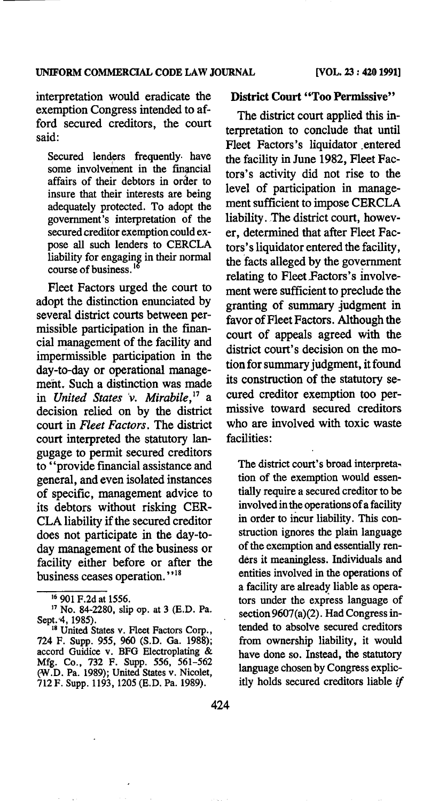interpretation would eradicate the exemption Congress intended to afford secured creditors, the court said:

Secured lenders frequently have some involvement in the financial affairs of their debtors in order to insure that their interests are being adequately protected. To adopt the government's interpretation of the secured creditor exemption could expose all such lenders to CERCLA liability for engaging in their normal course of business.<sup>16</sup>

Fleet Factors urged the court to adopt the distinction enunciated by severa1 district courts between permissible participation in the financia1 management of the facility and impermissible participation in the day-to-day or operational management. Such a distinction was made in *United States* 'v. *Mirabile!'* a decision relied on by the district court in *Fleet Factors.* The district court interpreted the statutory langugage to permit secured creditors to ''provide financial assistance and genera], and even isolated instances of specific, management advice to its debtors without risking CER-CLA liability if the secured creditor does not participate in the day-today management of the business or facility either before or after the business ceases operation."<sup>18</sup>

#### District Court "Too Permissive"

The district court applied this interpretation to conclude that until Fleet Factors's liquidator entered the facility in June 1982, Fleet Factors's activity did not rise to the level of participation in management sufficient to impose CERCLA liability. The district court, however, determined that after Fleet Factors's liquidator entered the facility, the facts alleged by the government relating to Fleet Factors's involvement were sufficient to preclude the granting of summary judgment in favor of Fleet Factors. Although the court of appeals agreed with the district court's decision on the motion for summary judgment, it found its construction of the statutory secured creditor exemption too permissive toward secured creditors who are involved with toxic waste facilities:

The district court's broad interpretation of the exemption would essentially require a secured creditor to be involved in the operations of a facility in order to incur liability. This construction ignores the plain language of the exemption and essentially renders it meaningless. Individuals and entities involved in the operations of a facility are already liable as operators under the express language of section 9607(a)(2). Had Congress intended to absolve secured creditors from ownership liability, it would have done so. Instead, the statutory language chosen by Congress explicitly holds secured creditors liable if

<sup>&</sup>lt;sup>16</sup> 901 F.2d at 1556.<br><sup>17</sup> No. 84-2280, slip op. at 3 (E.D. Pa. Sept. 4, 1985).

<sup>&</sup>lt;sup>18</sup> United States v. Fleet Factors Corp., 724 F. Supp. 955, 960 (S.D. Ga. 1988); accord Guidice v. BFG Electroplating & Mfg. Co., 732 F. Supp. 556, 561-562 (W.D. Pa. 1989); United States v. Nicolet, 712 F. Supp. 1193, 1205 (E.D. Pa. 1989).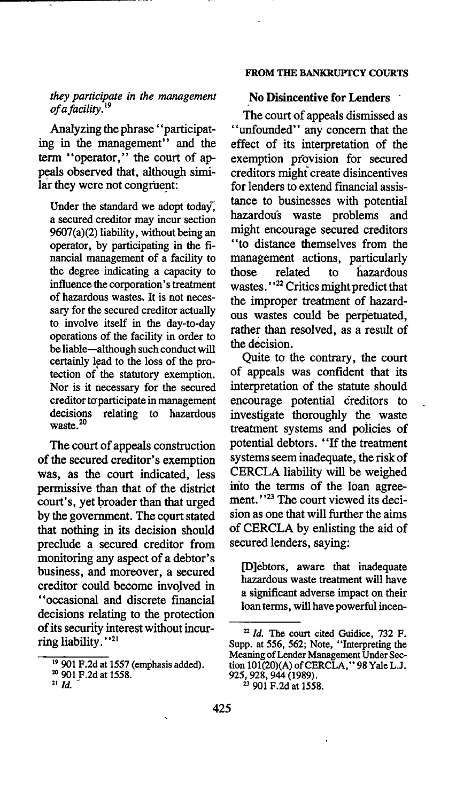#### *they participate in the management ofafacility.* <sup>19</sup>

Analyzing the phrase' 'participating in the management" and the term "operator," the court of appeals observed that, although similar they were not congruent:

Under the standard we adopt today, a secured creditor may incur section 9607(a)(2) liability, without being an operator, by participating in the financial management of a facility to the degree indicating a capacity to influence the corporation's treatment of hazardous wastes. It is not necessary for the secured creditor actually to involve itself in the day-to-day operations of the facility in order to be liable-although such conduct will certainly lead to the loss of the protection of the statutory exemption. Nor is it necessary for the secured creditor to participate in management decisions relating to hazardous waste.<sup>20</sup>

The court of appeals construction of the secured creditor's exemption was, as the court indicated, less permissive than that of the district court's, yet broader than that urged by the government. The court stated that nothing in its decision should preclude a secured creditor from monitoring any aspect of a debtor's business, and moreover, a secured creditor could become invoJved in "occasional and discrete fmancial decisions relating to the protection of its security interest without incurring liability.''<sup>21</sup>

#### FROM THE BANKRUPTCY COURTS

#### No Disincentive for Lenders ·

The court of appeals dismissed as "unfounded" any concern that the effect of its interpretation of the exemption provision for secured creditors might create disincentives for lenders to extend financial assistance to businesses with potential hazardou's waste problems and might encourage secured creditors ''to distance themselves from the management actions, particularly those related to hazardous wastes."<sup>22</sup> Critics might predict that the improper treatment of hazardous wastes could be perpetuated, rather than resolved, as a result of the decision.

Quite to the contrary, the court of appeals was confident that its interpretation of the statute should encourage potential creditors to investigate thoroughly the waste treatment systems and poiicies of potential debtors. ''If the treatment systems seem inadequate, the risk of CERCLA liability will be weighed irito the terms of the loan agreement."<sup>23</sup> The court viewed its decision as one that will further the aims of CERCLA by enlisting the aid of secured lenders, saying:

[D]ebtors, aware that inadequate hazardous waste treatment will have a significant adverse impact on their loan terms, will have powerful incen-

<sup>19 901</sup> F.2d at 1557 (emphasis added). 20 901 F.2d at 1558. 21 *ld.* -

 $22$  *Id.* The court cited Guidice, 732 F. Supp. at 556, 562; Note, "Interpreting the Meaning of Lender Management Under Section 101(20)(A) of CERCLA," 98 Yale L.J. 925, 928, 944 (1989).<br>
<sup>23</sup> 901 F.2d at 1558.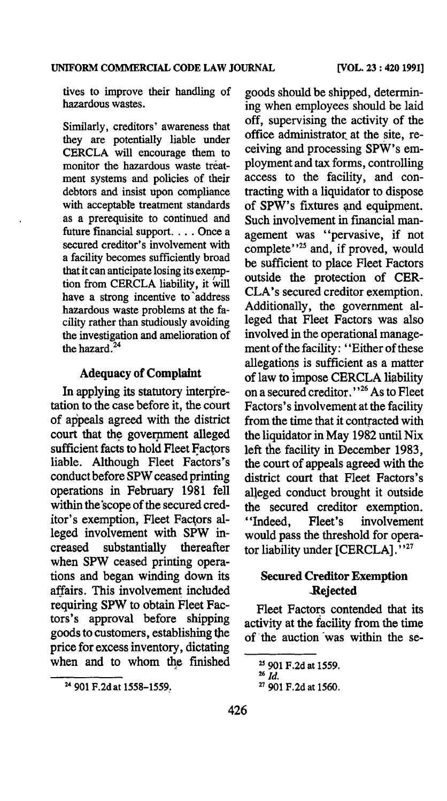tives to improve their handling of hazardous wastes.

Similarly, creditors' awareness that they are potentially liable under CERCLA will encourage them to monitor the hazardous waste treatment systems and policies of their debtors and insist upon compliance with acceptable treatment standards as a prerequisite to continued and future financial support. . . . Once a secured creditor's involvement with a facility becomes sufficiently broad that it can anticipate losing its exemption from CERCLA liability, it will have a strong incentive to 'address hazardous waste problems at the facility rather than studiously avoiding the investigation and amelioration of the hazard.<sup>24</sup>

#### Adequacy of Complaint

In applying its statutory interpretation to the case before it, the court of appeals agreed with the district court that the government alleged sufficient facts to hold Fleet Factors liable. Although Fleet Factors's conduct before SPW ceased printing operations in February 1981 fell within the 'scope of the secured creditor's exemption, Fleet Factors alleged involvement with SPW increased substantially thereafter when SPW ceased printing operations and began winding down its affairs. This involvement included requiring SPW to obtain Fleet Factors's approval before shipping goods to customers, establishing the price for excess inventory, dictating when and to whom the finished

goods should be shipped, determining when employees should be laid off, supervising the activity of the office administrator at the site, receiving and processing SPW's employment and tax forms, controlling access to the facility, and contracting with a liquidator to dispose of SPW's fixtures and equipment. Such involvement in financial management was ''pervasive, if not complete''<sup>25</sup> and, if proved, would be sufficient to place Fleet Factors outside the protection of CER-CLA's secured creditor exemption. Additionally, the government alleged that Fleet Factors was also involved in the operational management of the facility: ''Either of these allegations is sufficient as a matter of law to impose CERCLA liability on a secured creditor.' ' 26 As to Fleet Factors's involvement at the facility from the time that it contracted with the liquidator in May 1982 until Nix left the facility in December 1983, the court of appeals agreed with the district court that Fleet Factors's alleged conduct brought it outside the secured creditor exemption. ''Indeed, Fleet's involvement would pass the threshold for operator liability under {CERCLA]. ''<sup>27</sup>

#### Secured Creditor Exemption .Rejected

Fleet Factors contended that its activity at the facility from the time of the auction was within the se-

<sup>24</sup>901 F.2dat 1558-1559.

<sup>25 901</sup> F.2d at 1559. 26 *Id.* 

<sup>27 901</sup> F.2d at 1560.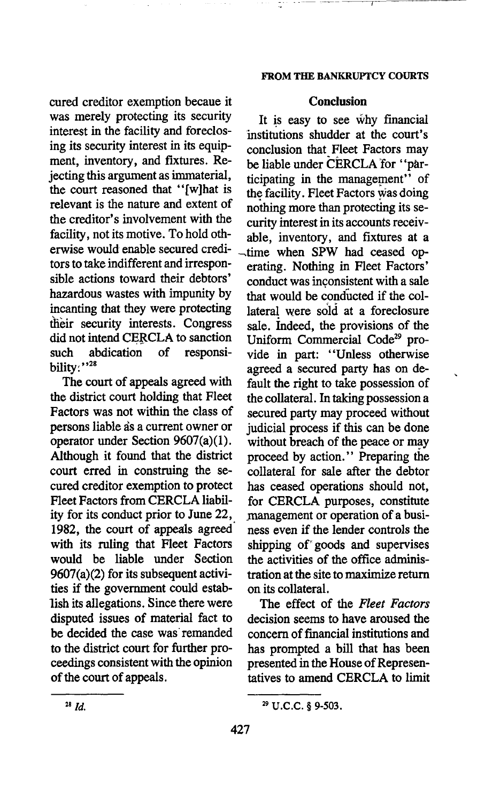cured creditor exemption becaue it Conclusion was merely protecting its security It is easy to see why financial interest in the facility and foreclos-<br>institutions shudder at the court's interest in the facility and foreclos-<br>institutions shudder at the court's<br>ing its security interest in its equip-<br>conclusion that Elect Factors may ing its security interest in its equip-<br>ment, inventory, and fixtures. Re-<br>he liable under CERCLA for "parment, inventory, and fixtures.  $Re$ - be liable under CERCLA for "par-<br>iecting this argument as immaterial,  $\frac{1}{10}$  insting in the management" of jecting this argument as immaterial, ticipating in the management'' of the court reasoned that " $[w]$  that is the facility. Fleet Factors was doing the court reasoned that  $\cdot$  [w]hat is the facility. Fleet Factors was doing relevant is the nature and extent of nothing more than protecting its serelevant is the nature and extent of nothing more than protecting its se-<br>the creditor's involvement with the ouring interest in its accounts receive the creditor's involvement with the curity interest in its accounts receiv-<br>facility, not its motive. To hold oth-<br>able inventory and fixtures at a facility, not its motive. To hold oth-<br>erwise would enable secured credi-<br>time, when SPW had ceased onerwise would enable secured credi- $\frac{1}{2}$  -time when SPW had ceased options' tors to take indifferent and irrespon-<br>sible actions toward their debtors' conduct was inconsistent with a sale hazardous wastes with impunity by that would be conducted if the col-<br>incanting that they were protecting lateral were sold at a foreclosure incanting that they were protecting lateral were sold at a foreclosure<br>their security interests. Congress sale, Indeed, the provisions of the their security interests. Congress sale. Indeed, the provisions of the did not intend CERCLA to sanction Iniform Commercial Code<sup>29</sup> pro-

The court of appeals agreed with fault the right to take possession of the district court holding that Fleet the collateral In taking possession a the district court holding that Fleet the collateral. In taking possession a<br>Factors was not within the class of secured party may proceed without persons liable as a current owner or judicial process if this can be done operator under Section  $9607(a)(1)$ . without breach of the peace or may Although it found that the district proceed by action.'' Preparing the court erred in construing the se- collateral for sale after the debtor cured creditor exemption to protect has ceased operations should not, Fleet Factors from CERCLA liabil- for CERCLA purposes, constitute ity for its conduct prior to June 22, management or operation of a busi-1982, the court of appeals agreed ness even if the lender controls the with its ruling that Fleet Factors shipping of goods and supervises would be liable under Section the activities of the office adminis- $9607(a)(2)$  for its subsequent activi- tration at the site to maximize return ties if the government could estab- on its collateral. lish its allegations. Since there were The effect of the *Fleet Factors*  disputed issues of material fact to decision seems to have aroused the be decided the case was remanded concern of financial institutions and to the district court for further pro- has prompted a bill that has been ceedings consistent with the opinion presented in the House of Represenof the court of appeals. tatives to amend CERCLA to limit

#### FROM THE BANKRUPTCY COURTS

- - -~- --~------

conduct was inconsistent with a sale intend CERCLA to sanction Uniform Commercial Code<sup>29</sup> pro-<br>abdication of responsi- vide in part: "Unless otherwise such abdication of responsi- vide in part: "Unless otherwise<br>bility:"<sup>28</sup> agreed a secured party has on deagreed a secured party has on desecured party may proceed without without breach of the peace or may shipping of goods and supervises

<sup>&</sup>lt;sup>28</sup> *Id.* <sup>29</sup> U.C.C. § 9-503.